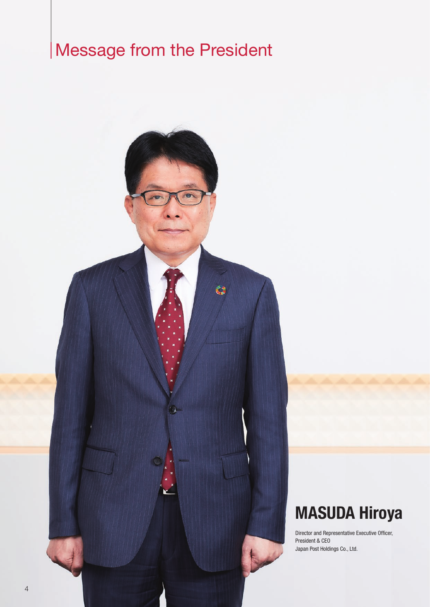# Message from the President



## MASUDA Hiroya

Director and Representative Executive Officer, President & CEO Japan Post Holdings Co., Ltd.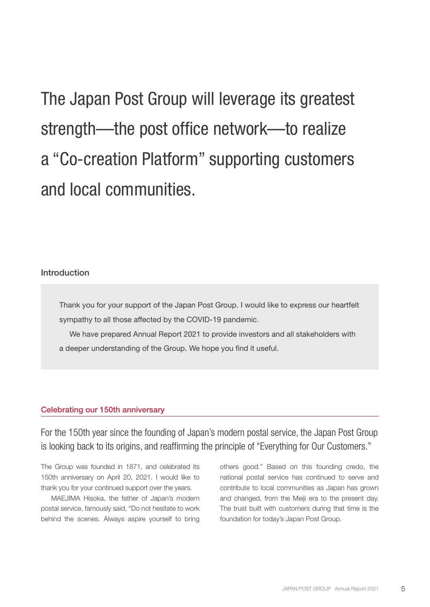The Japan Post Group will leverage its greatest strength—the post office network—to realize a "Co-creation Platform" supporting customers and local communities.

#### Introduction

Thank you for your support of the Japan Post Group. I would like to express our heartfelt sympathy to all those affected by the COVID-19 pandemic.

We have prepared Annual Report 2021 to provide investors and all stakeholders with a deeper understanding of the Group. We hope you find it useful.

#### Celebrating our 150th anniversary

For the 150th year since the founding of Japan's modern postal service, the Japan Post Group is looking back to its origins, and reaffirming the principle of "Everything for Our Customers."

The Group was founded in 1871, and celebrated its 150th anniversary on April 20, 2021. I would like to thank you for your continued support over the years.

MAEJIMA Hisoka, the father of Japan's modern postal service, famously said, "Do not hesitate to work behind the scenes. Always aspire yourself to bring others good." Based on this founding credo, the national postal service has continued to serve and contribute to local communities as Japan has grown and changed, from the Meiji era to the present day. The trust built with customers during that time is the foundation for today's Japan Post Group.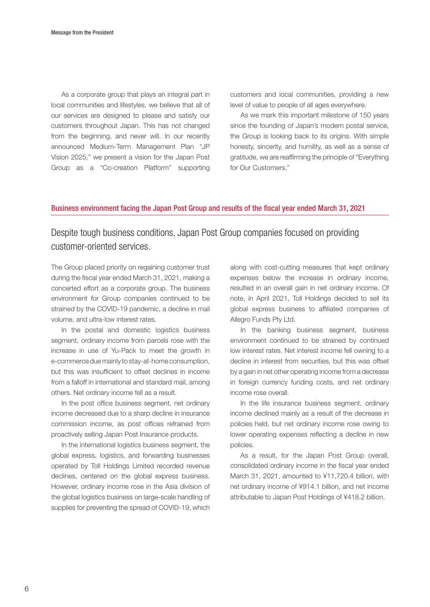As a corporate group that plays an integral part in local communities and lifestyles, we believe that all of our services are designed to please and satisfy our customers throughout Japan. This has not changed from the beginning, and never will. In our recently announced Medium-Term Management Plan "JP Vision 2025," we present a vision for the Japan Post Group as a "Co-creation Platform" supporting

customers and local communities, providing a new level of value to people of all ages everywhere.

As we mark this important milestone of 150 years since the founding of Japan's modern postal service, the Group is looking back to its origins. With simple honesty, sincerity, and humility, as well as a sense of gratitude, we are reaffirming the principle of "Everything for Our Customers."

#### Business environment facing the Japan Post Group and results of the fiscal year ended March 31, 2021

## Despite tough business conditions, Japan Post Group companies focused on providing customer-oriented services.

The Group placed priority on regaining customer trust during the fiscal year ended March 31, 2021, making a concerted effort as a corporate group. The business environment for Group companies continued to be strained by the COVID-19 pandemic, a decline in mail volume, and ultra-low interest rates.

In the postal and domestic logistics business segment, ordinary income from parcels rose with the increase in use of Yu-Pack to meet the growth in e-commerce due mainly to stay-at-home consumption, but this was insufficient to offset declines in income from a falloff in international and standard mail, among others. Net ordinary income fell as a result.

In the post office business segment, net ordinary income decreased due to a sharp decline in insurance commission income, as post offices refrained from proactively selling Japan Post Insurance products.

In the international logistics business segment, the global express, logistics, and forwarding businesses operated by Toll Holdings Limited recorded revenue declines, centered on the global express business. However, ordinary income rose in the Asia division of the global logistics business on large-scale handling of supplies for preventing the spread of COVID-19, which

along with cost-cutting measures that kept ordinary expenses below the increase in ordinary income, resulted in an overall gain in net ordinary income. Of note, in April 2021, Toll Holdings decided to sell its global express business to affiliated companies of Allegro Funds Pty Ltd.

In the banking business segment, business environment continued to be strained by continued low interest rates. Net interest income fell owning to a decline in interest from securities, but this was offset by a gain in net other operating income from a decrease in foreign currency funding costs, and net ordinary income rose overall.

In the life insurance business segment, ordinary income declined mainly as a result of the decrease in policies held, but net ordinary income rose owing to lower operating expenses reflecting a decline in new policies.

As a result, for the Japan Post Group overall, consolidated ordinary income in the fiscal year ended March 31, 2021, amounted to ¥11,720.4 billion, with net ordinary income of ¥914.1 billion, and net income attributable to Japan Post Holdings of ¥418.2 billion.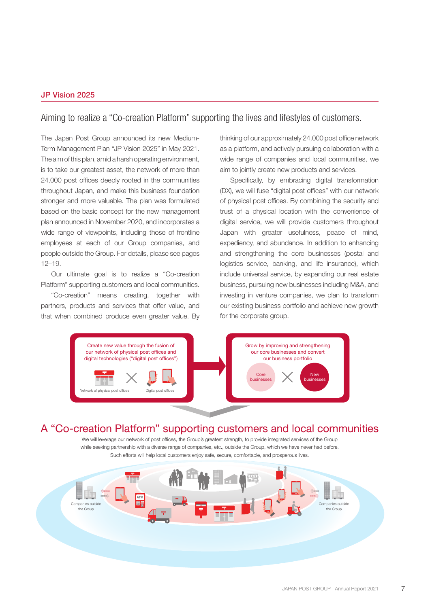#### JP Vision 2025

### Aiming to realize a "Co-creation Platform" supporting the lives and lifestyles of customers.

The Japan Post Group announced its new Medium-Term Management Plan "JP Vision 2025" in May 2021. The aim of this plan, amid a harsh operating environment, is to take our greatest asset, the network of more than 24,000 post offices deeply rooted in the communities throughout Japan, and make this business foundation stronger and more valuable. The plan was formulated based on the basic concept for the new management plan announced in November 2020, and incorporates a wide range of viewpoints, including those of frontline employees at each of our Group companies, and people outside the Group. For details, please see pages 12–19.

Our ultimate goal is to realize a "Co-creation Platform" supporting customers and local communities.

"Co-creation" means creating, together with partners, products and services that offer value, and that when combined produce even greater value. By thinking of our approximately 24,000 post office network as a platform, and actively pursuing collaboration with a wide range of companies and local communities, we aim to jointly create new products and services.

Specifically, by embracing digital transformation (DX), we will fuse "digital post offices" with our network of physical post offices. By combining the security and trust of a physical location with the convenience of digital service, we will provide customers throughout Japan with greater usefulness, peace of mind, expediency, and abundance. In addition to enhancing and strengthening the core businesses (postal and logistics service, banking, and life insurance), which include universal service, by expanding our real estate business, pursuing new businesses including M&A, and investing in venture companies, we plan to transform our existing business portfolio and achieve new growth for the corporate group.



## A "Co-creation Platform" supporting customers and local communities

We will leverage our network of post offices, the Group's greatest strength, to provide integrated services of the Group while seeking partnership with a diverse range of companies, etc., outside the Group, which we have never had before. Such efforts will help local customers enjoy safe, secure, comfortable, and prosperous lives.

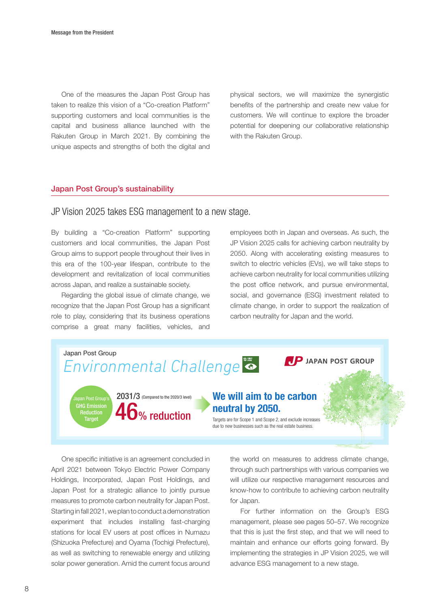One of the measures the Japan Post Group has taken to realize this vision of a "Co-creation Platform" supporting customers and local communities is the capital and business alliance launched with the Rakuten Group in March 2021. By combining the unique aspects and strengths of both the digital and physical sectors, we will maximize the synergistic benefits of the partnership and create new value for customers. We will continue to explore the broader potential for deepening our collaborative relationship with the Rakuten Group.

#### Japan Post Group's sustainability

#### JP Vision 2025 takes ESG management to a new stage.

By building a "Co-creation Platform" supporting customers and local communities, the Japan Post Group aims to support people throughout their lives in this era of the 100-year lifespan, contribute to the development and revitalization of local communities across Japan, and realize a sustainable society.

Regarding the global issue of climate change, we recognize that the Japan Post Group has a significant role to play, considering that its business operations comprise a great many facilities, vehicles, and employees both in Japan and overseas. As such, the JP Vision 2025 calls for achieving carbon neutrality by 2050. Along with accelerating existing measures to switch to electric vehicles (EVs), we will take steps to achieve carbon neutrality for local communities utilizing the post office network, and pursue environmental, social, and governance (ESG) investment related to climate change, in order to support the realization of carbon neutrality for Japan and the world.



One specific initiative is an agreement concluded in April 2021 between Tokyo Electric Power Company Holdings, Incorporated, Japan Post Holdings, and Japan Post for a strategic alliance to jointly pursue measures to promote carbon neutrality for Japan Post. Starting in fall 2021, we plan to conduct a demonstration experiment that includes installing fast-charging stations for local EV users at post offices in Numazu (Shizuoka Prefecture) and Oyama (Tochigi Prefecture), as well as switching to renewable energy and utilizing solar power generation. Amid the current focus around

the world on measures to address climate change, through such partnerships with various companies we will utilize our respective management resources and know-how to contribute to achieving carbon neutrality for Japan.

For further information on the Group's ESG management, please see pages 50–57. We recognize that this is just the first step, and that we will need to maintain and enhance our efforts going forward. By implementing the strategies in JP Vision 2025, we will advance ESG management to a new stage.